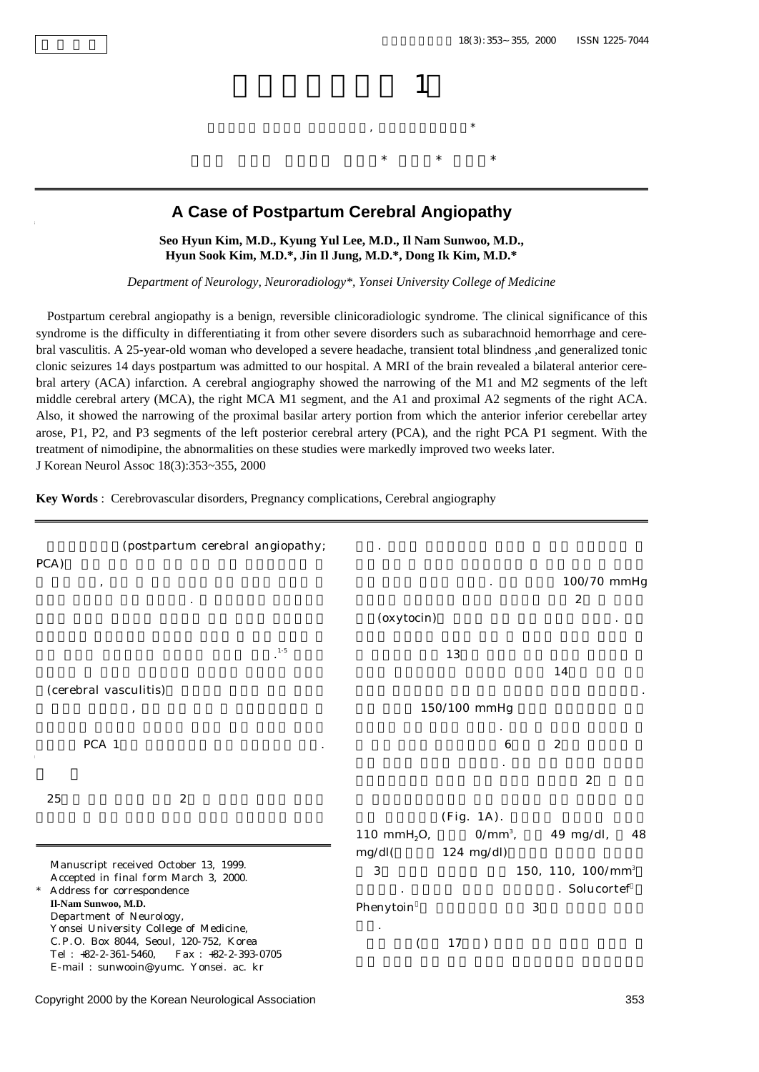# $\sim$  1  $\sim$  1 연세대학교 의과대학 신경과학교실, 진단방사선과학교실\* 김서현 이경열 선우일남 김현숙\* 정진일\* 김동익\*

# **A Case of Postpartum Cerebral Angiopathy**

### **Seo Hyun Kim, M.D., Kyung Yul Lee, M.D., Il Nam Sunwoo, M.D., Hyun Sook Kim, M.D.\*, Jin Il Jung, M.D.\*, Dong Ik Kim, M.D.\***

*Department of Neurology, Neuroradiology\*, Yonsei University College of Medicine*

Postpartum cerebral angiopathy is a benign, reversible clinicoradiologic syndrome. The clinical significance of this syndrome is the difficulty in differentiating it from other severe disorders such as subarachnoid hemorrhage and cerebral vasculitis. A 25-year-old woman who developed a severe headache, transient total blindness ,and generalized tonic clonic seizures 14 days postpartum was admitted to our hospital. A MRI of the brain revealed a bilateral anterior cerebral artery (ACA) infarction. A cerebral angiography showed the narrowing of the M1 and M2 segments of the left middle cerebral artery (MCA), the right MCA M1 segment, and the A1 and proximal A2 segments of the right ACA. Also, it showed the narrowing of the proximal basilar artery portion from which the anterior inferior cerebellar artey arose, P1, P2, and P3 segments of the left posterior cerebral artery (PCA), and the right PCA P1 segment. With the treatment of nimodipine, the abnormalities on these studies were markedly improved two weeks later. J Korean Neurol Assoc 18(3):353~355, 2000



**Key Words** : Cerebrovascular disorders, Pregnancy complications, Cerebral angiography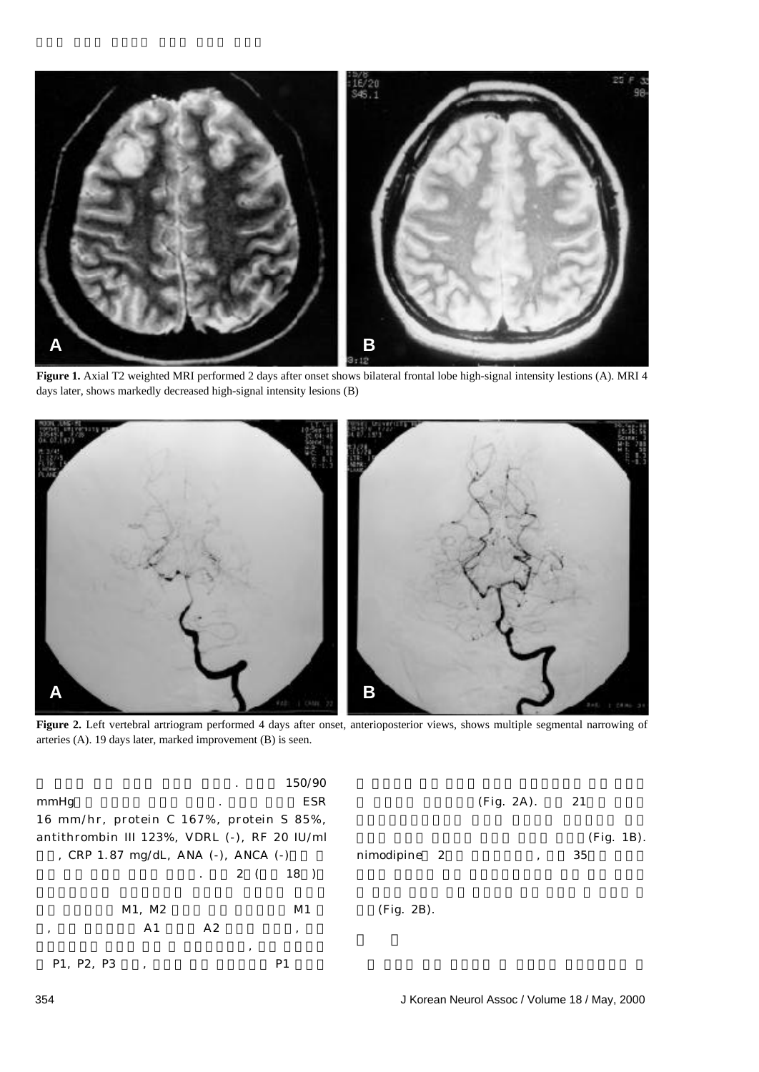

**Figure 1.** Axial T2 weighted MRI performed 2 days after onset shows bilateral frontal lobe high-signal intensity lestions (A). MRI 4 days later, shows markedly decreased high-signal intensity lesions (B)



**Figure 2.** Left vertebral artriogram performed 4 days after onset, anterioposterior views, shows multiple segmental narrowing of arteries (A). 19 days later, marked improvement (B) is seen.

|                                              |    | 150/90  |              |               |            |  |
|----------------------------------------------|----|---------|--------------|---------------|------------|--|
| mmHg                                         |    | ESR     |              | $(Fig. 2A)$ . | 21         |  |
| 16 mm/hr, protein C 167%, protein S 85%,     |    |         |              |               |            |  |
| antithrombin III 123%, VDRL (-), RF 20 IU/ml |    |         |              |               | (Fig. 1B). |  |
| , CRP 1.87 mg/dL, ANA (-), ANCA (-)          |    |         | nimodipine 2 | $\cdot$       | 35         |  |
|                                              |    | 2(18)   |              |               |            |  |
|                                              |    |         |              |               |            |  |
| M1, M2                                       |    | M1      | (Fig. 2B).   |               |            |  |
| A <sub>1</sub><br>,                          | A2 | $\cdot$ |              |               |            |  |
|                                              |    | $\cdot$ |              |               |            |  |
| P1, P2, P3                                   |    | P1      |              |               |            |  |
|                                              |    |         |              |               |            |  |